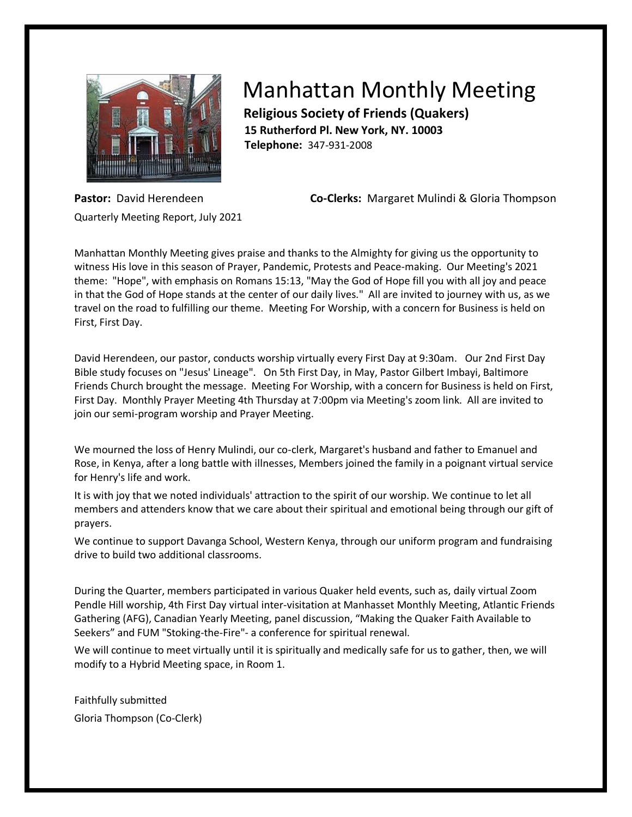

## Manhattan Monthly Meeting

 **Religious Society of Friends (Quakers) 15 Rutherford Pl. New York, NY. 10003 Telephone:** 347-931-2008

Quarterly Meeting Report, July 2021

**Pastor:** David Herendeen **Co-Clerks:** Margaret Mulindi & Gloria Thompson

Manhattan Monthly Meeting gives praise and thanks to the Almighty for giving us the opportunity to witness His love in this season of Prayer, Pandemic, Protests and Peace-making. Our Meeting's 2021 theme: "Hope", with emphasis on Romans 15:13, "May the God of Hope fill you with all joy and peace in that the God of Hope stands at the center of our daily lives." All are invited to journey with us, as we travel on the road to fulfilling our theme. Meeting For Worship, with a concern for Business is held on First, First Day.

David Herendeen, our pastor, conducts worship virtually every First Day at 9:30am. Our 2nd First Day Bible study focuses on "Jesus' Lineage". On 5th First Day, in May, Pastor Gilbert Imbayi, Baltimore Friends Church brought the message. Meeting For Worship, with a concern for Business is held on First, First Day. Monthly Prayer Meeting 4th Thursday at 7:00pm via Meeting's zoom link. All are invited to join our semi-program worship and Prayer Meeting.

We mourned the loss of Henry Mulindi, our co-clerk, Margaret's husband and father to Emanuel and Rose, in Kenya, after a long battle with illnesses, Members joined the family in a poignant virtual service for Henry's life and work.

It is with joy that we noted individuals' attraction to the spirit of our worship. We continue to let all members and attenders know that we care about their spiritual and emotional being through our gift of prayers.

We continue to support Davanga School, Western Kenya, through our uniform program and fundraising drive to build two additional classrooms.

During the Quarter, members participated in various Quaker held events, such as, daily virtual Zoom Pendle Hill worship, 4th First Day virtual inter-visitation at Manhasset Monthly Meeting, Atlantic Friends Gathering (AFG), Canadian Yearly Meeting, panel discussion, "Making the Quaker Faith Available to Seekers" and FUM "Stoking-the-Fire"- a conference for spiritual renewal.

We will continue to meet virtually until it is spiritually and medically safe for us to gather, then, we will modify to a Hybrid Meeting space, in Room 1.

Faithfully submitted Gloria Thompson (Co-Clerk)